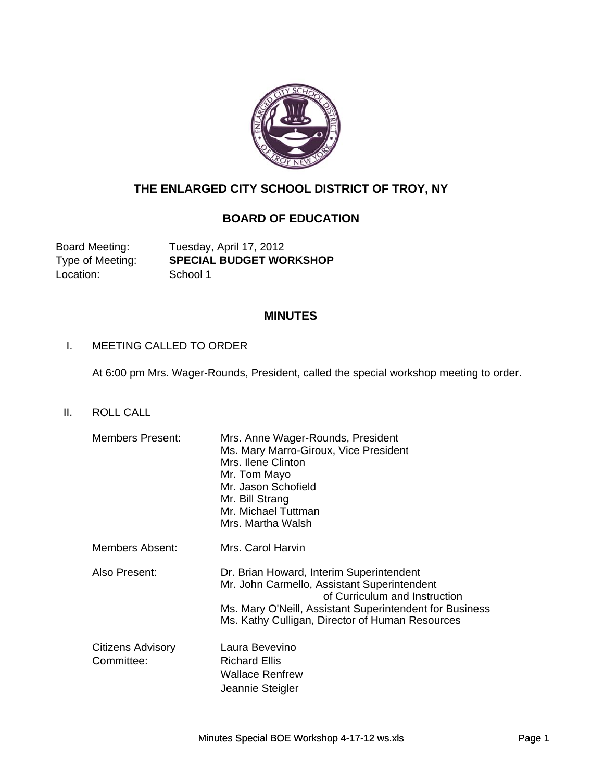

# **THE ENLARGED CITY SCHOOL DISTRICT OF TROY, NY**

# **BOARD OF EDUCATION**

Location: School 1

Board Meeting: Tuesday, April 17, 2012 Type of Meeting: **SPECIAL BUDGET WORKSHOP** 

### **MINUTES**

### I. MEETING CALLED TO ORDER

At 6:00 pm Mrs. Wager-Rounds, President, called the special workshop meeting to order.

II. ROLL CALL

| <b>Members Present:</b>         | Mrs. Anne Wager-Rounds, President<br>Ms. Mary Marro-Giroux, Vice President<br>Mrs. Ilene Clinton<br>Mr. Tom Mayo<br>Mr. Jason Schofield<br>Mr. Bill Strang<br>Mr. Michael Tuttman<br>Mrs. Martha Walsh                                 |
|---------------------------------|----------------------------------------------------------------------------------------------------------------------------------------------------------------------------------------------------------------------------------------|
| Members Absent:                 | Mrs. Carol Harvin                                                                                                                                                                                                                      |
| Also Present:                   | Dr. Brian Howard, Interim Superintendent<br>Mr. John Carmello, Assistant Superintendent<br>of Curriculum and Instruction<br>Ms. Mary O'Neill, Assistant Superintendent for Business<br>Ms. Kathy Culligan, Director of Human Resources |
| Citizens Advisory<br>Committee: | Laura Bevevino<br><b>Richard Ellis</b><br><b>Wallace Renfrew</b><br>Jeannie Steigler                                                                                                                                                   |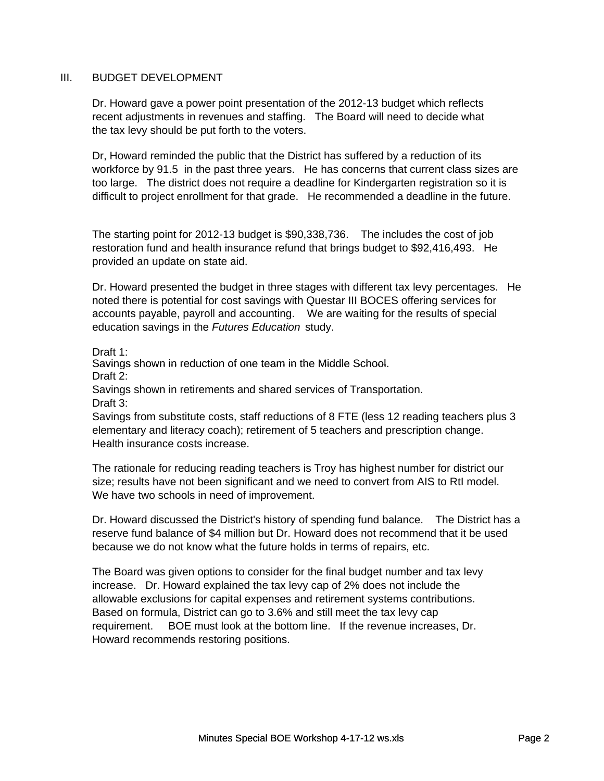#### III. BUDGET DEVELOPMENT

Dr. Howard gave a power point presentation of the 2012-13 budget which reflects recent adjustments in revenues and staffing. The Board will need to decide what the tax levy should be put forth to the voters.

Dr, Howard reminded the public that the District has suffered by a reduction of its workforce by 91.5 in the past three years. He has concerns that current class sizes are too large. The district does not require a deadline for Kindergarten registration so it is difficult to project enrollment for that grade. He recommended a deadline in the future.

The starting point for 2012-13 budget is \$90,338,736. The includes the cost of job restoration fund and health insurance refund that brings budget to \$92,416,493. He provided an update on state aid.

Dr. Howard presented the budget in three stages with different tax levy percentages. He noted there is potential for cost savings with Questar III BOCES offering services for accounts payable, payroll and accounting. We are waiting for the results of special education savings in the *Futures Education* study.

Draft 1:

Savings shown in reduction of one team in the Middle School Savings shown in reduction of one team in the Middle School. Draft 2:

Savings shown in retirements and shared services of Transportation. Draft 3:

Savings from substitute costs, staff reductions of 8 FTE (less 12 reading teachers plus 3 elementary and literacy coach); retirement of 5 teachers and prescription change. Health insurance costs increase.

The rationale for reducing reading teachers is Troy has highest number for district our size; results have not been significant and we need to convert from AIS to RtI model. We have two schools in need of improvement.

Dr. Howard discussed the District's history of spending fund balance. The District has a reserve fund balance of \$4 million but Dr. Howard does not recommend that it be used because we do not know what the future holds in terms of repairs, etc.

The Board was given options to consider for the final budget number and tax levy increase. Dr. Howard explained the tax levy cap of 2% does not include the allowable exclusions for capital expenses and retirement systems contributions. Based on formula, District can go to 3.6% and still meet the tax levy cap requirement. BOE must look at the bottom line. If the revenue increases, Dr. Howard recommends restoring positions.